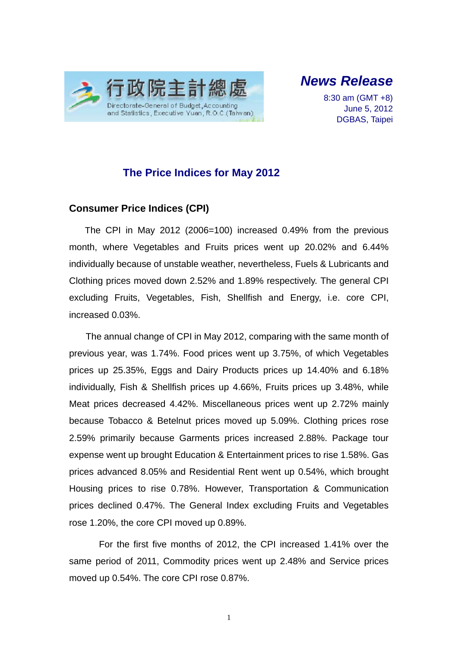

*News Release* 

8:30 am (GMT +8) June 5, 2012 DGBAS, Taipei

#### **The Price Indices for May 2012**

#### **Consumer Price Indices (CPI)**

The CPI in May 2012 (2006=100) increased 0.49% from the previous month, where Vegetables and Fruits prices went up 20.02% and 6.44% individually because of unstable weather, nevertheless, Fuels & Lubricants and Clothing prices moved down 2.52% and 1.89% respectively. The general CPI excluding Fruits, Vegetables, Fish, Shellfish and Energy, i.e. core CPI, increased 0.03%.

The annual change of CPI in May 2012, comparing with the same month of previous year, was 1.74%. Food prices went up 3.75%, of which Vegetables prices up 25.35%, Eggs and Dairy Products prices up 14.40% and 6.18% individually, Fish & Shellfish prices up 4.66%, Fruits prices up 3.48%, while Meat prices decreased 4.42%. Miscellaneous prices went up 2.72% mainly because Tobacco & Betelnut prices moved up 5.09%. Clothing prices rose 2.59% primarily because Garments prices increased 2.88%. Package tour expense went up brought Education & Entertainment prices to rise 1.58%. Gas prices advanced 8.05% and Residential Rent went up 0.54%, which brought Housing prices to rise 0.78%. However, Transportation & Communication prices declined 0.47%. The General Index excluding Fruits and Vegetables rose 1.20%, the core CPI moved up 0.89%.

For the first five months of 2012, the CPI increased 1.41% over the same period of 2011, Commodity prices went up 2.48% and Service prices moved up 0.54%. The core CPI rose 0.87%.

1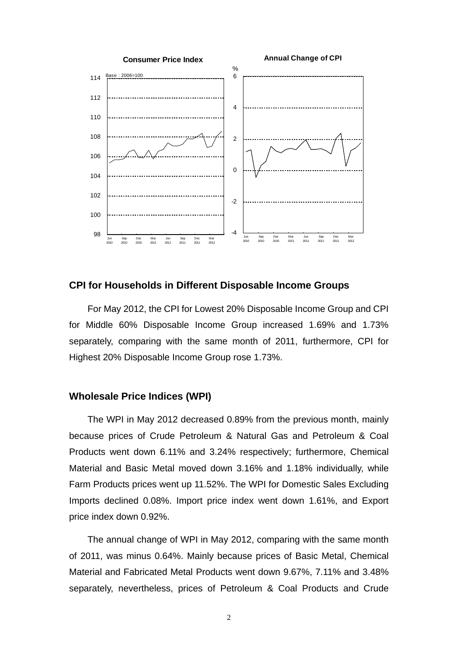

#### **CPI for Households in Different Disposable Income Groups**

For May 2012, the CPI for Lowest 20% Disposable Income Group and CPI for Middle 60% Disposable Income Group increased 1.69% and 1.73% separately, comparing with the same month of 2011, furthermore, CPI for Highest 20% Disposable Income Group rose 1.73%.

#### **Wholesale Price Indices (WPI)**

The WPI in May 2012 decreased 0.89% from the previous month, mainly because prices of Crude Petroleum & Natural Gas and Petroleum & Coal Products went down 6.11% and 3.24% respectively; furthermore, Chemical Material and Basic Metal moved down 3.16% and 1.18% individually, while Farm Products prices went up 11.52%. The WPI for Domestic Sales Excluding Imports declined 0.08%. Import price index went down 1.61%, and Export price index down 0.92%.

The annual change of WPI in May 2012, comparing with the same month of 2011, was minus 0.64%. Mainly because prices of Basic Metal, Chemical Material and Fabricated Metal Products went down 9.67%, 7.11% and 3.48% separately, nevertheless, prices of Petroleum & Coal Products and Crude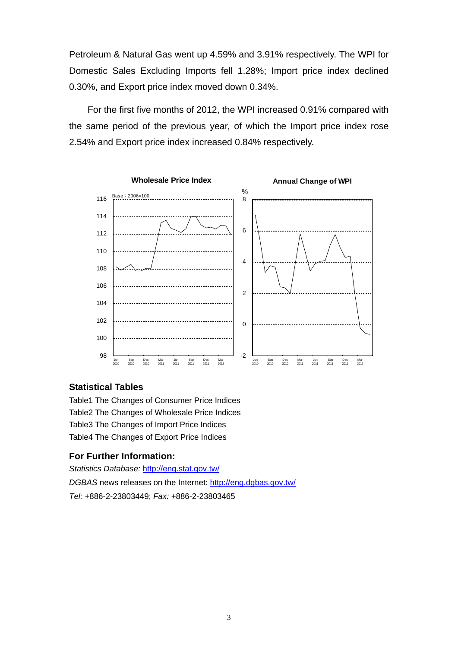Petroleum & Natural Gas went up 4.59% and 3.91% respectively. The WPI for Domestic Sales Excluding Imports fell 1.28%; Import price index declined 0.30%, and Export price index moved down 0.34%.

For the first five months of 2012, the WPI increased 0.91% compared with the same period of the previous year, of which the Import price index rose 2.54% and Export price index increased 0.84% respectively.



#### **Statistical Tables**

Table1 The Changes of Consumer Price Indices Table2 The Changes of Wholesale Price Indices Table3 The Changes of Import Price Indices Table4 The Changes of Export Price Indices

#### **For Further Information:**

*Statistics Database:* http://eng.stat.gov.tw/ *DGBAS* news releases on the Internet: http://eng.dgbas.gov.tw/ *Tel:* +886-2-23803449; *Fax:* +886-2-23803465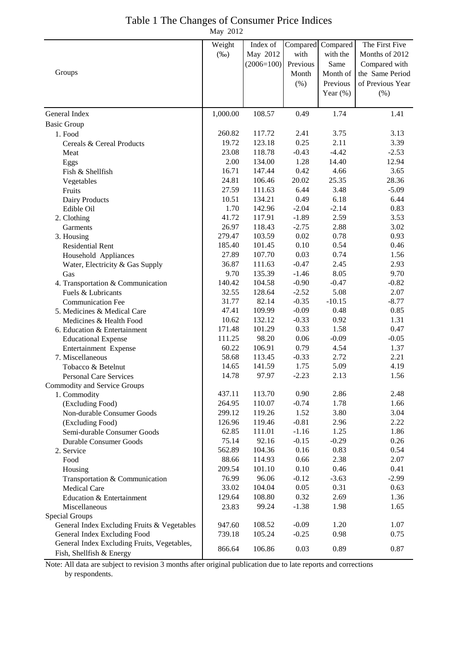| Table 1 The Changes of Consumer Price Indices |  |
|-----------------------------------------------|--|
| May 2012                                      |  |

|                                             | Weight          | Index of         | Compared           | Compared        | The First Five   |
|---------------------------------------------|-----------------|------------------|--------------------|-----------------|------------------|
|                                             | $(\%0)$         | May 2012         | with               | with the        | Months of 2012   |
|                                             |                 | $(2006=100)$     | Previous           | Same            | Compared with    |
| Groups                                      |                 |                  | Month              | Month of        | the Same Period  |
|                                             |                 |                  | (% )               | Previous        | of Previous Year |
|                                             |                 |                  |                    | Year $(\%)$     | (%)              |
|                                             |                 |                  |                    |                 |                  |
| General Index                               | 1,000.00        | 108.57           | 0.49               | 1.74            | 1.41             |
| <b>Basic Group</b><br>1. Food               | 260.82          | 117.72           | 2.41               | 3.75            | 3.13             |
| Cereals & Cereal Products                   | 19.72           | 123.18           | 0.25               | 2.11            | 3.39             |
| Meat                                        | 23.08           | 118.78           | $-0.43$            | $-4.42$         | $-2.53$          |
| Eggs                                        | 2.00            | 134.00           | 1.28               | 14.40           | 12.94            |
| Fish & Shellfish                            | 16.71           | 147.44           | 0.42               | 4.66            | 3.65             |
| Vegetables                                  | 24.81           | 106.46           | 20.02              | 25.35           | 28.36            |
| Fruits                                      | 27.59           | 111.63           | 6.44               | 3.48            | $-5.09$          |
| Dairy Products                              | 10.51           | 134.21           | 0.49               | 6.18            | 6.44             |
| Edible Oil                                  | 1.70            | 142.96           | $-2.04$            | $-2.14$         | 0.83             |
| 2. Clothing                                 | 41.72           | 117.91           | $-1.89$            | 2.59            | 3.53             |
| <b>Garments</b>                             | 26.97           | 118.43           | $-2.75$            | 2.88            | 3.02             |
| 3. Housing                                  | 279.47          | 103.59           | 0.02               | 0.78            | 0.93             |
| <b>Residential Rent</b>                     | 185.40          | 101.45           | 0.10               | 0.54            | 0.46             |
| Household Appliances                        | 27.89           | 107.70           | 0.03               | 0.74            | 1.56             |
| Water, Electricity & Gas Supply             | 36.87           | 111.63           | $-0.47$            | 2.45            | 2.93             |
| Gas                                         | 9.70            | 135.39           | $-1.46$            | 8.05            | 9.70             |
| 4. Transportation & Communication           | 140.42          | 104.58           | $-0.90$            | $-0.47$         | $-0.82$          |
| Fuels & Lubricants                          | 32.55           | 128.64           | $-2.52$            | 5.08            | 2.07             |
| <b>Communication Fee</b>                    | 31.77           | 82.14            | $-0.35$            | $-10.15$        | $-8.77$          |
| 5. Medicines & Medical Care                 | 47.41           | 109.99           | $-0.09$            | 0.48            | 0.85             |
| Medicines & Health Food                     | 10.62           | 132.12           | $-0.33$            | 0.92            | 1.31             |
| 6. Education & Entertainment                | 171.48          | 101.29           | 0.33               | 1.58            | 0.47             |
| <b>Educational Expense</b>                  | 111.25          | 98.20            | 0.06               | $-0.09$         | $-0.05$          |
| Entertainment Expense                       | 60.22           | 106.91           | 0.79               | 4.54            | 1.37             |
| 7. Miscellaneous                            | 58.68           | 113.45           | $-0.33$            | 2.72            | 2.21             |
| Tobacco & Betelnut                          | 14.65           | 141.59           | 1.75               | 5.09            | 4.19             |
| <b>Personal Care Services</b>               | 14.78           | 97.97            | $-2.23$            | 2.13            | 1.56             |
| <b>Commodity and Service Groups</b>         |                 |                  |                    |                 |                  |
| 1. Commodity                                | 437.11          | 113.70           | 0.90               | 2.86            | 2.48             |
| (Excluding Food)                            | 264.95          | 110.07           | $-0.74$            | 1.78            | 1.66             |
| Non-durable Consumer Goods                  | 299.12          | 119.26<br>119.46 | 1.52               | 3.80            | 3.04             |
| (Excluding Food)                            | 126.96<br>62.85 | 111.01           | $-0.81$<br>$-1.16$ | 2.96            | 2.22             |
| Semi-durable Consumer Goods                 | 75.14           | 92.16            | $-0.15$            | 1.25<br>$-0.29$ | 1.86<br>0.26     |
| <b>Durable Consumer Goods</b><br>2. Service | 562.89          | 104.36           | 0.16               | 0.83            | 0.54             |
| Food                                        | 88.66           | 114.93           | 0.66               | 2.38            | 2.07             |
| Housing                                     | 209.54          | 101.10           | 0.10               | 0.46            | 0.41             |
| Transportation & Communication              | 76.99           | 96.06            | $-0.12$            | $-3.63$         | $-2.99$          |
| Medical Care                                | 33.02           | 104.04           | 0.05               | 0.31            | 0.63             |
| Education & Entertainment                   | 129.64          | 108.80           | 0.32               | 2.69            | 1.36             |
| Miscellaneous                               | 23.83           | 99.24            | $-1.38$            | 1.98            | 1.65             |
| Special Groups                              |                 |                  |                    |                 |                  |
| General Index Excluding Fruits & Vegetables | 947.60          | 108.52           | $-0.09$            | 1.20            | 1.07             |
| General Index Excluding Food                | 739.18          | 105.24           | $-0.25$            | 0.98            | 0.75             |
| General Index Excluding Fruits, Vegetables, |                 |                  |                    |                 |                  |
| Fish, Shellfish & Energy                    | 866.64          | 106.86           | 0.03               | 0.89            | 0.87             |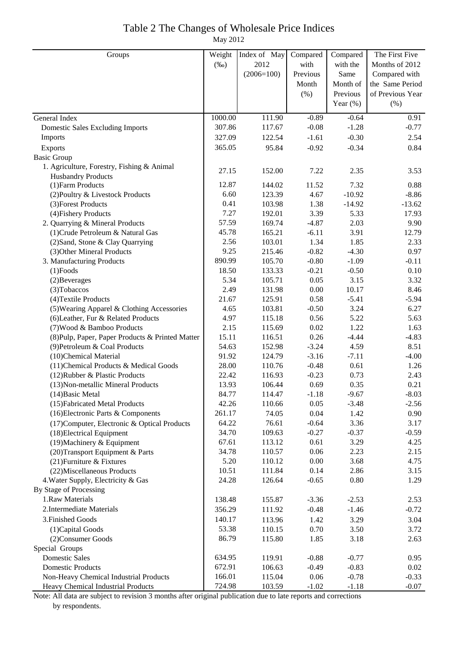# Table 2 The Changes of Wholesale Price Indices

May 2012

| Groups                                                            | Weight          | Index of May     | Compared     | Compared     | The First Five   |
|-------------------------------------------------------------------|-----------------|------------------|--------------|--------------|------------------|
|                                                                   | $(\%0)$         | 2012             | with         | with the     | Months of 2012   |
|                                                                   |                 | $(2006=100)$     | Previous     | Same         | Compared with    |
|                                                                   |                 |                  | Month        | Month of     | the Same Period  |
|                                                                   |                 |                  | (% )         | Previous     | of Previous Year |
|                                                                   |                 |                  |              | Year $(\%)$  | $(\% )$          |
| General Index                                                     | 1000.00         | 111.90           | $-0.89$      | $-0.64$      | 0.91             |
| <b>Domestic Sales Excluding Imports</b>                           | 307.86          | 117.67           | $-0.08$      | $-1.28$      | $-0.77$          |
| Imports                                                           | 327.09          | 122.54           | $-1.61$      | $-0.30$      | 2.54             |
| <b>Exports</b>                                                    | 365.05          | 95.84            | $-0.92$      | $-0.34$      | 0.84             |
| <b>Basic Group</b>                                                |                 |                  |              |              |                  |
| 1. Agriculture, Forestry, Fishing & Animal                        |                 |                  |              |              |                  |
| <b>Husbandry Products</b>                                         | 27.15           | 152.00           | 7.22         | 2.35         | 3.53             |
| (1) Farm Products                                                 | 12.87           | 144.02           | 11.52        | 7.32         | 0.88             |
| (2) Poultry & Livestock Products                                  | 6.60            | 123.39           | 4.67         | $-10.92$     | $-8.86$          |
| (3) Forest Products                                               | 0.41            | 103.98           | 1.38         | $-14.92$     | $-13.62$         |
| (4) Fishery Products                                              | 7.27            | 192.01           | 3.39         | 5.33         | 17.93            |
| 2. Quarrying & Mineral Products                                   | 57.59           | 169.74           | $-4.87$      | 2.03         | 9.90             |
| (1) Crude Petroleum & Natural Gas                                 | 45.78           | 165.21           | $-6.11$      | 3.91         | 12.79            |
| (2) Sand, Stone & Clay Quarrying                                  | 2.56            | 103.01           | 1.34         | 1.85         | 2.33             |
| (3) Other Mineral Products                                        | 9.25            | 215.46           | $-0.82$      | $-4.30$      | 0.97             |
| 3. Manufacturing Products                                         | 890.99          | 105.70           | $-0.80$      | $-1.09$      | $-0.11$          |
| $(1)$ Foods                                                       | 18.50           | 133.33           | $-0.21$      | $-0.50$      | 0.10             |
| (2) Beverages                                                     | 5.34            | 105.71           | 0.05         | 3.15         | 3.32             |
| (3) Tobaccos                                                      | 2.49            | 131.98           | 0.00         | 10.17        | 8.46             |
| (4) Textile Products                                              | 21.67           | 125.91           | 0.58         | $-5.41$      | $-5.94$          |
| (5) Wearing Apparel & Clothing Accessories                        | 4.65            | 103.81           | $-0.50$      | 3.24         | 6.27             |
| (6) Leather, Fur & Related Products                               | 4.97            | 115.18           | 0.56         | 5.22         | 5.63             |
| (7) Wood & Bamboo Products                                        | 2.15            | 115.69           | 0.02         | 1.22         | 1.63             |
| (8) Pulp, Paper, Paper Products & Printed Matter                  | 15.11           | 116.51           | 0.26         | $-4.44$      | $-4.83$          |
| (9) Petroleum & Coal Products                                     | 54.63           | 152.98           | $-3.24$      | 4.59         | 8.51             |
| (10)Chemical Material                                             | 91.92           | 124.79           | $-3.16$      | $-7.11$      | $-4.00$          |
| (11) Chemical Products & Medical Goods                            | 28.00           | 110.76           | $-0.48$      | 0.61         | 1.26             |
| (12) Rubber & Plastic Products                                    | 22.42           | 116.93           | $-0.23$      | 0.73         | 2.43             |
| (13) Non-metallic Mineral Products                                | 13.93           | 106.44           | 0.69         | 0.35         | 0.21             |
| $(14)$ Basic Metal                                                | 84.77           | 114.47           | $-1.18$      | $-9.67$      | $-8.03$          |
| (15) Fabricated Metal Products                                    | 42.26           | 110.66           | 0.05         | $-3.48$      | $-2.56$          |
| (16) Electronic Parts & Components                                | 261.17          | 74.05            | 0.04         | 1.42         | 0.90             |
| (17) Computer, Electronic & Optical Products                      | 64.22           | 76.61            | $-0.64$      | 3.36         | 3.17             |
| (18) Electrical Equipment                                         | 34.70           | 109.63           | $-0.27$      | $-0.37$      | $-0.59$          |
| (19) Machinery & Equipment                                        | 67.61<br>34.78  | 113.12<br>110.57 | 0.61<br>0.06 | 3.29<br>2.23 | 4.25<br>2.15     |
| (20) Transport Equipment & Parts                                  | 5.20            |                  | 0.00         | 3.68         | 4.75             |
| (21) Furniture & Fixtures                                         |                 | 110.12           | 0.14         | 2.86         | 3.15             |
| (22) Miscellaneous Products<br>4. Water Supply, Electricity & Gas | 10.51<br>24.28  | 111.84<br>126.64 | $-0.65$      | 0.80         | 1.29             |
| By Stage of Processing                                            |                 |                  |              |              |                  |
| 1.Raw Materials                                                   | 138.48          | 155.87           | $-3.36$      | $-2.53$      | 2.53             |
| 2. Intermediate Materials                                         | 356.29          | 111.92           | $-0.48$      | $-1.46$      | $-0.72$          |
| 3. Finished Goods                                                 |                 |                  |              |              |                  |
|                                                                   | 140.17<br>53.38 | 113.96<br>110.15 | 1.42<br>0.70 | 3.29<br>3.50 | 3.04<br>3.72     |
| (1) Capital Goods                                                 |                 |                  |              |              |                  |
| (2) Consumer Goods<br>Special Groups                              | 86.79           | 115.80           | 1.85         | 3.18         | 2.63             |
| <b>Domestic Sales</b>                                             | 634.95          | 119.91           | $-0.88$      | $-0.77$      | 0.95             |
| <b>Domestic Products</b>                                          | 672.91          | 106.63           | $-0.49$      | $-0.83$      | 0.02             |
| Non-Heavy Chemical Industrial Products                            | 166.01          | 115.04           | 0.06         | $-0.78$      | $-0.33$          |
| Heavy Chemical Industrial Products                                | 724.98          | 103.59           | $-1.02$      | $-1.18$      | $-0.07$          |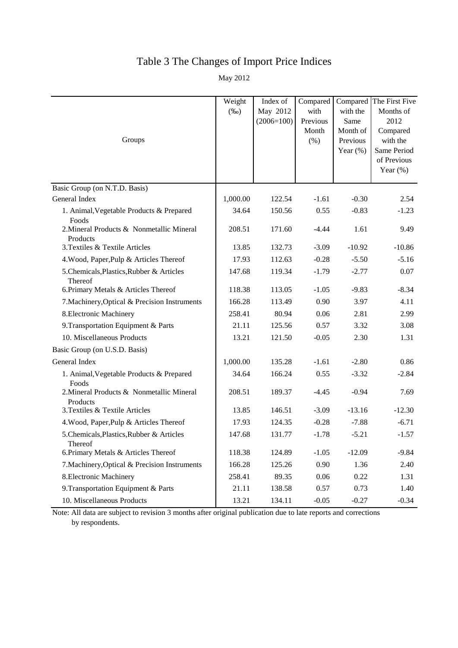### Table 3 The Changes of Import Price Indices

May 2012

| Groups                                                | Weight<br>$(\%0)$ | Index of<br>May 2012<br>$(2006=100)$ | Compared<br>with<br>Previous<br>Month<br>(% ) | Compared<br>with the<br>Same<br>Month of<br>Previous<br>Year $(\% )$ | The First Five<br>Months of<br>2012<br>Compared<br>with the<br>Same Period<br>of Previous<br>Year $(\%)$ |
|-------------------------------------------------------|-------------------|--------------------------------------|-----------------------------------------------|----------------------------------------------------------------------|----------------------------------------------------------------------------------------------------------|
| Basic Group (on N.T.D. Basis)                         |                   |                                      |                                               |                                                                      |                                                                                                          |
| General Index                                         | 1,000.00          | 122.54                               | $-1.61$                                       | $-0.30$                                                              | 2.54                                                                                                     |
| 1. Animal, Vegetable Products & Prepared<br>Foods     | 34.64             | 150.56                               | 0.55                                          | $-0.83$                                                              | $-1.23$                                                                                                  |
| 2. Mineral Products & Nonmetallic Mineral<br>Products | 208.51            | 171.60                               | $-4.44$                                       | 1.61                                                                 | 9.49                                                                                                     |
| 3. Textiles & Textile Articles                        | 13.85             | 132.73                               | $-3.09$                                       | $-10.92$                                                             | $-10.86$                                                                                                 |
| 4. Wood, Paper, Pulp & Articles Thereof               | 17.93             | 112.63                               | $-0.28$                                       | $-5.50$                                                              | $-5.16$                                                                                                  |
| 5. Chemicals, Plastics, Rubber & Articles<br>Thereof  | 147.68            | 119.34                               | $-1.79$                                       | $-2.77$                                                              | 0.07                                                                                                     |
| 6. Primary Metals & Articles Thereof                  | 118.38            | 113.05                               | $-1.05$                                       | $-9.83$                                                              | $-8.34$                                                                                                  |
| 7. Machinery, Optical & Precision Instruments         | 166.28            | 113.49                               | 0.90                                          | 3.97                                                                 | 4.11                                                                                                     |
| 8. Electronic Machinery                               | 258.41            | 80.94                                | 0.06                                          | 2.81                                                                 | 2.99                                                                                                     |
| 9. Transportation Equipment & Parts                   | 21.11             | 125.56                               | 0.57                                          | 3.32                                                                 | 3.08                                                                                                     |
| 10. Miscellaneous Products                            | 13.21             | 121.50                               | $-0.05$                                       | 2.30                                                                 | 1.31                                                                                                     |
| Basic Group (on U.S.D. Basis)                         |                   |                                      |                                               |                                                                      |                                                                                                          |
| General Index                                         | 1,000.00          | 135.28                               | $-1.61$                                       | $-2.80$                                                              | 0.86                                                                                                     |
| 1. Animal, Vegetable Products & Prepared<br>Foods     | 34.64             | 166.24                               | 0.55                                          | $-3.32$                                                              | $-2.84$                                                                                                  |
| 2. Mineral Products & Nonmetallic Mineral<br>Products | 208.51            | 189.37                               | $-4.45$                                       | $-0.94$                                                              | 7.69                                                                                                     |
| 3. Textiles & Textile Articles                        | 13.85             | 146.51                               | $-3.09$                                       | $-13.16$                                                             | $-12.30$                                                                                                 |
| 4. Wood, Paper, Pulp & Articles Thereof               | 17.93             | 124.35                               | $-0.28$                                       | $-7.88$                                                              | $-6.71$                                                                                                  |
| 5.Chemicals, Plastics, Rubber & Articles<br>Thereof   | 147.68            | 131.77                               | $-1.78$                                       | $-5.21$                                                              | $-1.57$                                                                                                  |
| 6. Primary Metals & Articles Thereof                  | 118.38            | 124.89                               | $-1.05$                                       | $-12.09$                                                             | $-9.84$                                                                                                  |
| 7. Machinery, Optical & Precision Instruments         | 166.28            | 125.26                               | 0.90                                          | 1.36                                                                 | 2.40                                                                                                     |
| 8. Electronic Machinery                               | 258.41            | 89.35                                | 0.06                                          | 0.22                                                                 | 1.31                                                                                                     |
| 9. Transportation Equipment & Parts                   | 21.11             | 138.58                               | 0.57                                          | 0.73                                                                 | 1.40                                                                                                     |
| 10. Miscellaneous Products                            | 13.21             | 134.11                               | $-0.05$                                       | $-0.27$                                                              | $-0.34$                                                                                                  |